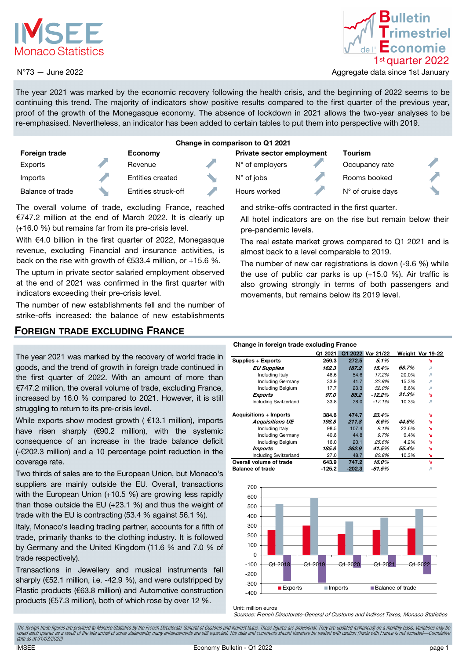

### N°73 — June 2022



Aggregate data since 1st January

The year 2021 was marked by the economic recovery following the health crisis, and the beginning of 2022 seems to be continuing this trend. The majority of indicators show positive results compared to the first quarter of the previous year, proof of the growth of the Monegasque economy. The absence of lockdown in 2021 allows the two-year analyses to be re-emphasised. Nevertheless, an indicator has been added to certain tables to put them into perspective with 2019.

| Change in comparison to Q1 2021 |  |                     |  |                                  |  |                            |  |
|---------------------------------|--|---------------------|--|----------------------------------|--|----------------------------|--|
| <b>Foreign trade</b>            |  | Economy             |  | <b>Private sector employment</b> |  | <b>Tourism</b>             |  |
| Exports                         |  | Revenue             |  | $N^{\circ}$ of employers         |  | Occupancy rate             |  |
| Imports                         |  | Entities created    |  | $N^{\circ}$ of jobs              |  | Rooms booked               |  |
| Balance of trade                |  | Entities struck-off |  | Hours worked                     |  | $N^{\circ}$ of cruise days |  |

The overall volume of trade, excluding France, reached €747.2 million at the end of March 2022. It is clearly up (+16.0 %) but remains far from its pre-crisis level.

With €4.0 billion in the first quarter of 2022, Monegasque revenue, excluding Financial and insurance activities, is back on the rise with growth of €533.4 million, or +15.6 %.

The upturn in private sector salaried employment observed at the end of 2021 was confirmed in the first quarter with indicators exceeding their pre-crisis level.

The number of new establishments fell and the number of strike-offs increased: the balance of new establishments

### FOREIGN TRADE EXCLUDING FRANCE

The year 2021 was marked by the recovery of world trade in goods, and the trend of growth in foreign trade continued in the first quarter of 2022. With an amount of more than €747.2 million, the overall volume of trade, excluding France, increased by 16.0 % compared to 2021. However, it is still struggling to return to its pre-crisis level.

While exports show modest growth ( €13.1 million), imports have risen sharply (€90.2 million), with the systemic consequence of an increase in the trade balance deficit (-€202.3 million) and a 10 percentage point reduction in the coverage rate.

Two thirds of sales are to the European Union, but Monaco's suppliers are mainly outside the EU. Overall, transactions with the European Union (+10.5 %) are growing less rapidly than those outside the EU (+23.1 %) and thus the weight of trade with the EU is contracting (53.4 % against 56.1 %).

Italy, Monaco's leading trading partner, accounts for a fifth of trade, primarily thanks to the clothing industry. It is followed by Germany and the United Kingdom (11.6 % and 7.0 % of trade respectively).

Transactions in Jewellery and musical instruments fell sharply (€52.1 million, i.e. -42.9 %), and were outstripped by Plastic products (€63.8 million) and Automotive construction products (€57.3 million), both of which rose by over 12 %.

and strike-offs contracted in the first quarter.

All hotel indicators are on the rise but remain below their pre-pandemic levels.

The real estate market grows compared to Q1 2021 and is almost back to a level comparable to 2019.

The number of new car registrations is down (-9.6 %) while the use of public car parks is up (+15.0 %). Air traffic is also growing strongly in terms of both passengers and movements, but remains below its 2019 level.

#### Change in foreign trade excluding France

|                               | Q1 2021 |          | Q1 2022 Var 21/22 |       | Weight Var 19-22 |
|-------------------------------|---------|----------|-------------------|-------|------------------|
| Supplies + Exports            | 259.3   | 272.5    | 5.1%              |       | r                |
| <b>EU Supplies</b>            | 162.3   | 187.2    | 15.4%             | 68.7% | л                |
| Including Italy               | 46.6    | 54.6     | 17.2%             | 20.0% | л                |
| <b>Including Germany</b>      | 33.9    | 41.7     | 22.9%             | 15.3% | я                |
| Including Belgium             | 17.7    | 23.3     | 32.0%             | 8.6%  | л                |
| <b>Exports</b>                | 97.0    | 85.2     | -12.2%            | 31.3% | r                |
| <b>Including Switzerland</b>  | 33.8    | 28.0     | $-17.1%$          | 10.3% | л                |
| <b>Acquisitions + Imports</b> | 384.6   | 474.7    | 23.4%             |       | N                |
| <b>Acquisitions UE</b>        | 198.8   | 211.8    | 6.6%              | 44.6% | N                |
| Including Italy               | 98.5    | 107.4    | $9.1\%$           | 22.6% | ×.               |
| <b>Including Germany</b>      | 40.8    | 44.8     | 9.7%              | 9.4%  | N                |
| Including Belgium             | 16.0    | 20.1     | 25.6%             | 4.2%  | N.               |
| Imports                       | 185.8   | 262.9    | 41.5%             | 55.4% | N                |
| <b>Including Switzerland</b>  | 27.0    | 48.7     | 80.8%             | 10.3% | `a               |
| Overall volume of trade       | 643.9   | 747.2    | 16.0%             |       | N.               |
| <b>Balance of trade</b>       | -125.2  | $-202.3$ | -61.5%            |       | л                |



Unit: million euros

Sources: French Directorate-General of Customs and Indirect Taxes, Monaco Statistics

The foreign trade figures are provided to Monaco Statistics by the French Directorate-General of Customs and Indirect taxes. These figures are provisional. They are updated (enhanced) on a monthly basis. Variations may be<br> data as at 31/03/2022)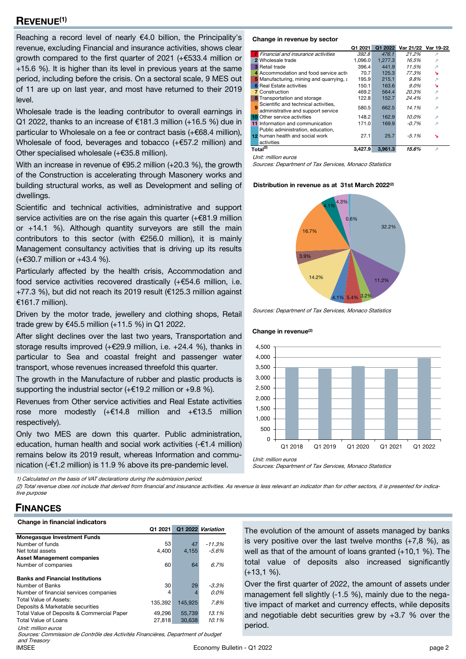### REVENUE(1)

Reaching a record level of nearly €4.0 billion, the Principality's revenue, excluding Financial and insurance activities, shows clear growth compared to the first quarter of 2021 (+€533.4 million or +15.6 %). It is higher than its level in previous years at the same period, including before the crisis. On a sectoral scale, 9 MES out of 11 are up on last year, and most have returned to their 2019 level.

Wholesale trade is the leading contributor to overall earnings in Q1 2022, thanks to an increase of €181.3 million (+16.5 %) due in particular to Wholesale on a fee or contract basis (+€68.4 million), Wholesale of food, beverages and tobacco (+€57.2 million) and Other specialised wholesale (+€35.8 million).

With an increase in revenue of €95.2 million (+20.3 %), the growth of the Construction is accelerating through Masonery works and building structural works, as well as Development and selling of dwellings.

Scientific and technical activities, administrative and support service activities are on the rise again this quarter (+€81.9 million or +14.1 %). Although quantity surveyors are still the main contributors to this sector (with €256.0 million), it is mainly Management consultancy activities that is driving up its results (+€30.7 million or +43.4 %).

Particularly affected by the health crisis, Accommodation and food service activities recovered drastically (+€54.6 million, i.e. +77.3 %), but did not reach its 2019 result (€125.3 million against €161.7 million).

Driven by the motor trade, jewellery and clothing shops, Retail trade grew by €45.5 million (+11.5 %) in Q1 2022.

After slight declines over the last two years, Transportation and storage results improved (+€29.9 million, i.e. +24.4 %), thanks in particular to Sea and coastal freight and passenger water transport, whose revenues increased threefold this quarter.

The growth in the Manufacture of rubber and plastic products is supporting the industrial sector (+ $\epsilon$ 19.2 million or +9.8 %).

Revenues from Other service activities and Real Estate activities rose more modestly  $(+£14.8$  million and  $+£13.5$  million respectively).

Only two MES are down this quarter. Public administration, education, human health and social work activities (-€1.4 million) remains below its 2019 result, whereas Information and communication (-€1.2 million) is 11.9 % above its pre-pandemic level.

1) Calculated on the basis of VAT declarations during the submission period.

(2) Total revenue does not include that derived from financial and insurance activities. As revenue is less relevant an indicator than for other sectors, it is presented for indicative purpose

### **FINANCES**

|         |         | Q1 2022 Variation |
|---------|---------|-------------------|
|         |         |                   |
| 53      | 47      | $-11.3%$          |
| 4.400   | 4.155   | $-5.6\%$          |
|         |         |                   |
| 60      | 64      | 6.7%              |
|         |         |                   |
| 30      | 29      | $-3.3%$           |
| 4       |         | 0.0%              |
| 135.392 | 145.925 | 7.8%              |
| 49.296  | 55.739  | 13.1%             |
| 27,818  | 30.638  | 10.1%             |
|         |         |                   |
|         | Q1 2021 |                   |

Sources: Commission de Contrôle des Activités Financières, Department of budget and Treasory

#### Change in revenue by sector

|    |                                                                            | Q1 2021 | Q1 2022 |          | Var 21/22 Var 19-22 |
|----|----------------------------------------------------------------------------|---------|---------|----------|---------------------|
|    | Financial and insurance activities                                         | 392.8   | 476.1   | 21.2%    | л                   |
|    | 2 Wholesale trade                                                          | 1.096.0 | 1.277.3 | 16.5%    | я                   |
|    | <b>3</b> Retail trade                                                      | 396.4   | 441.9   | 11.5%    | я                   |
|    | 4 Accommodation and food service activ                                     | 70.7    | 125.3   | 77.3%    | ↘                   |
|    | 5 Manufacturing, mining and quarrying, a                                   | 195.9   | 215.1   | 9.8%     | л                   |
|    | <b>6</b> Real Estate activities                                            | 150.1   | 163.6   | 9.0%     | ↘                   |
|    | <b>7</b> Construction                                                      | 469.2   | 564.4   | 20.3%    | я                   |
| 8  | Transportation and storage                                                 | 122.8   | 152.7   | 24.4%    | я                   |
| q  | Scientific and technical activities,<br>administrative and support service | 580.5   | 662.5   | 14.1%    | я                   |
| 10 | Other service activities                                                   | 148.2   | 162.9   | 10.0%    | л                   |
|    | 11 Information and communication                                           | 171.0   | 169.9   | $-0.7%$  | я                   |
|    | Public administration, education,                                          |         |         |          |                     |
|    | 12 human health and social work                                            | 27.1    | 25.7    | $-5.1\%$ | ↘                   |
|    | activities                                                                 |         |         |          |                     |
|    | Total <sup>(2)</sup>                                                       | 3.427.9 | 3.961.3 | 15.6%    | я                   |

Unit: million euros

Sources: Department of Tax Services, Monaco Statistics

#### Distribution in revenue as at 31st March 2022<sup>(2)</sup>



Sources: Department of Tax Services, Monaco Statistics

Change in revenue<sup>(2)</sup>



Sources: Department of Tax Services, Monaco Statistics

The evolution of the amount of assets managed by banks is very positive over the last twelve months  $(+7,8,%)$ , as well as that of the amount of loans granted (+10,1 %). The total value of deposits also increased significantly (+13,1 %).

Over the first quarter of 2022, the amount of assets under management fell slightly (-1.5 %), mainly due to the negative impact of market and currency effects, while deposits and negotiable debt securities grew by +3.7 % over the period.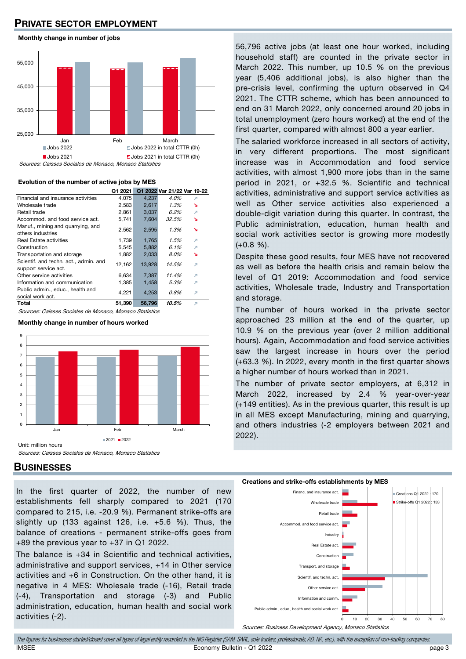# PRIVATE SECTOR EMPLOYMENT

Monthly change in number of jobs



Sources: Caisses Sociales de Monaco, Monaco Statistics

#### Evolution of the number of active jobs by MES

|                                                               | Q1 2021 |        | Q1 2022 Var 21/22 Var 19-22 |   |
|---------------------------------------------------------------|---------|--------|-----------------------------|---|
| Financial and insurance activities                            | 4,075   | 4,237  | 4.0%                        | л |
| Wholesale trade                                               | 2,583   | 2,617  | 1.3%                        | r |
| Retail trade                                                  | 2,861   | 3,037  | 6.2%                        | л |
| Accommod, and food service act.                               | 5.741   | 7.604  | 32.5%                       | r |
| Manuf., mining and quarrying, and<br>others industries        | 2,562   | 2,595  | 1.3%                        | N |
| <b>Real Estate activities</b>                                 | 1.739   | 1.765  | 1.5%                        | л |
| Construction                                                  | 5,545   | 5,882  | 6.1%                        | л |
| Transportation and storage                                    | 1.882   | 2,033  | 8.0%                        | ↘ |
| Scientif, and techn. act., admin. and<br>support service act. | 12,162  | 13,928 | 14.5%                       | л |
| Other service activities                                      | 6,634   | 7,387  | 11.4%                       | л |
| Information and communication                                 | 1.385   | 1,458  | 5.3%                        | л |
| Public admin., educ., health and<br>social work act.          | 4,221   | 4,253  | 0.8%                        | я |
| Total                                                         | 51.390  | 56,796 | 10.5%                       | л |

Sources: Caisses Sociales de Monaco, Monaco Statistics

#### Monthly change in number of hours worked



**BUSINESSES** 

In the first quarter of 2022, the number of new establishments fell sharply compared to 2021 (170 compared to 215, i.e. -20.9 %). Permanent strike-offs are slightly up (133 against 126, i.e. +5.6 %). Thus, the balance of creations - permanent strike-offs goes from +89 the previous year to +37 in Q1 2022.

The balance is +34 in Scientific and technical activities, administrative and support services, +14 in Other service activities and +6 in Construction. On the other hand, it is negative in 4 MES: Wholesale trade (-16), Retail trade (-4), Transportation and storage (-3) and Public administration, education, human health and social work activities (-2).

56,796 active jobs (at least one hour worked, including household staff) are counted in the private sector in March 2022. This number, up 10.5 % on the previous year (5,406 additional jobs), is also higher than the pre-crisis level, confirming the upturn observed in Q4 2021. The CTTR scheme, which has been announced to end on 31 March 2022, only concerned around 20 jobs in total unemployment (zero hours worked) at the end of the first quarter, compared with almost 800 a year earlier.

The salaried workforce increased in all sectors of activity, in very different proportions. The most significant increase was in Accommodation and food service activities, with almost 1,900 more jobs than in the same period in 2021, or +32.5 %. Scientific and technical activities, administrative and support service activities as well as Other service activities also experienced a double-digit variation during this quarter. In contrast, the Public administration, education, human health and social work activities sector is growing more modestly  $(+0.8 %).$ 

Despite these good results, four MES have not recovered as well as before the health crisis and remain below the level of Q1 2019: Accommodation and food service activities, Wholesale trade, Industry and Transportation and storage.

The number of hours worked in the private sector approached 23 million at the end of the quarter, up 10.9 % on the previous year (over 2 million additional hours). Again, Accommodation and food service activities saw the largest increase in hours over the period (+63.3 %). In 2022, every month in the first quarter shows a higher number of hours worked than in 2021.

The number of private sector employers, at 6,312 in March 2022, increased by 2.4 % year-over-year (+149 entities). As in the previous quarter, this result is up in all MES except Manufacturing, mining and quarrying, and others industries (-2 employers between 2021 and 2022).



Sources: Business Development Agency, Monaco Statistics